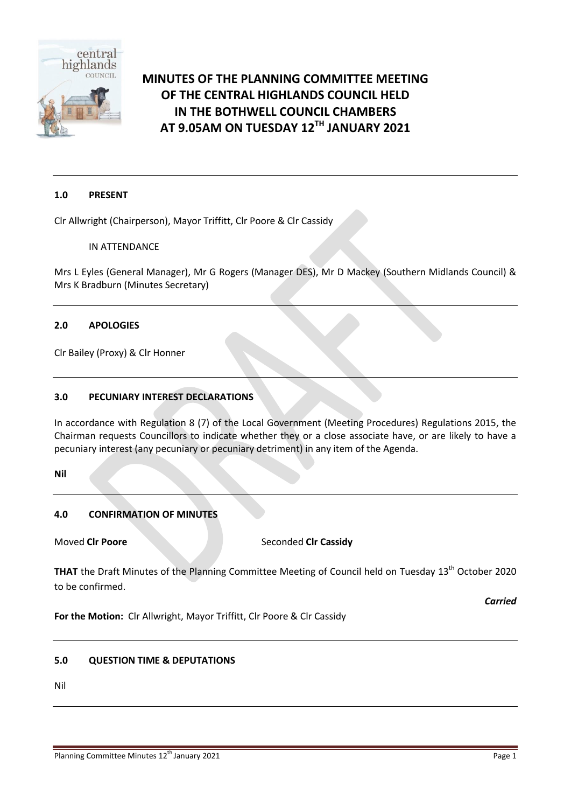

# **MINUTES OF THE PLANNING COMMITTEE MEETING OF THE CENTRAL HIGHLANDS COUNCIL HELD IN THE BOTHWELL COUNCIL CHAMBERS AT 9.05AM ON TUESDAY 12TH JANUARY 2021**

### **1.0 PRESENT**

Clr Allwright (Chairperson), Mayor Triffitt, Clr Poore & Clr Cassidy

### IN ATTENDANCE

Mrs L Eyles (General Manager), Mr G Rogers (Manager DES), Mr D Mackey (Southern Midlands Council) & Mrs K Bradburn (Minutes Secretary)

### **2.0 APOLOGIES**

Clr Bailey (Proxy) & Clr Honner

### **3.0 PECUNIARY INTEREST DECLARATIONS**

In accordance with Regulation 8 (7) of the Local Government (Meeting Procedures) Regulations 2015, the Chairman requests Councillors to indicate whether they or a close associate have, or are likely to have a pecuniary interest (any pecuniary or pecuniary detriment) in any item of the Agenda.

**Nil**

### **4.0 CONFIRMATION OF MINUTES**

**Moved Clr Poore** Seconded Clr Cassidy

**THAT** the Draft Minutes of the Planning Committee Meeting of Council held on Tuesday 13<sup>th</sup> October 2020 to be confirmed.

*Carried*

**For the Motion:** Clr Allwright, Mayor Triffitt, Clr Poore & Clr Cassidy

### **5.0 QUESTION TIME & DEPUTATIONS**

Nil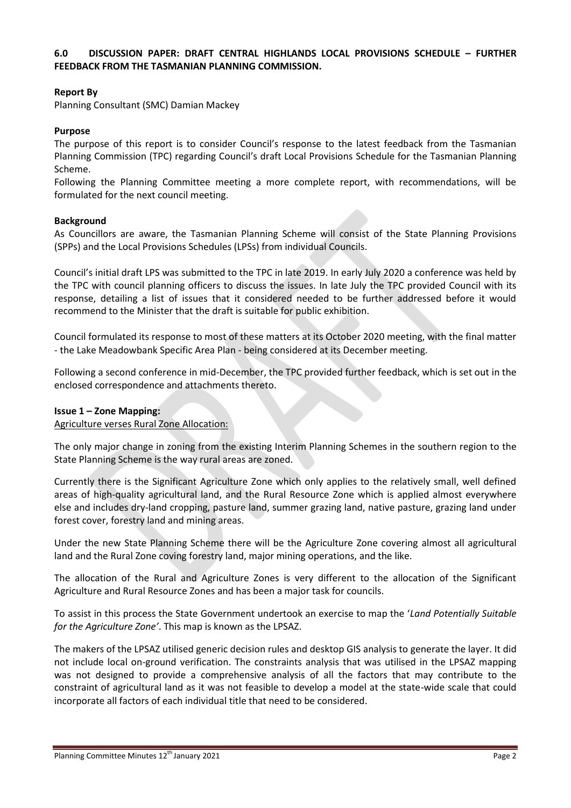### **6.0 DISCUSSION PAPER: DRAFT CENTRAL HIGHLANDS LOCAL PROVISIONS SCHEDULE – FURTHER FEEDBACK FROM THE TASMANIAN PLANNING COMMISSION.**

### **Report By**

Planning Consultant (SMC) Damian Mackey

### **Purpose**

The purpose of this report is to consider Council's response to the latest feedback from the Tasmanian Planning Commission (TPC) regarding Council's draft Local Provisions Schedule for the Tasmanian Planning Scheme.

Following the Planning Committee meeting a more complete report, with recommendations, will be formulated for the next council meeting.

### **Background**

As Councillors are aware, the Tasmanian Planning Scheme will consist of the State Planning Provisions (SPPs) and the Local Provisions Schedules (LPSs) from individual Councils.

Council's initial draft LPS was submitted to the TPC in late 2019. In early July 2020 a conference was held by the TPC with council planning officers to discuss the issues. In late July the TPC provided Council with its response, detailing a list of issues that it considered needed to be further addressed before it would recommend to the Minister that the draft is suitable for public exhibition.

Council formulated its response to most of these matters at its October 2020 meeting, with the final matter - the Lake Meadowbank Specific Area Plan - being considered at its December meeting.

Following a second conference in mid-December, the TPC provided further feedback, which is set out in the enclosed correspondence and attachments thereto.

### **Issue 1 – Zone Mapping:**

Agriculture verses Rural Zone Allocation:

The only major change in zoning from the existing Interim Planning Schemes in the southern region to the State Planning Scheme is the way rural areas are zoned.

Currently there is the Significant Agriculture Zone which only applies to the relatively small, well defined areas of high-quality agricultural land, and the Rural Resource Zone which is applied almost everywhere else and includes dry-land cropping, pasture land, summer grazing land, native pasture, grazing land under forest cover, forestry land and mining areas.

Under the new State Planning Scheme there will be the Agriculture Zone covering almost all agricultural land and the Rural Zone coving forestry land, major mining operations, and the like.

The allocation of the Rural and Agriculture Zones is very different to the allocation of the Significant Agriculture and Rural Resource Zones and has been a major task for councils.

To assist in this process the State Government undertook an exercise to map the '*Land Potentially Suitable for the Agriculture Zone'*. This map is known as the LPSAZ.

The makers of the LPSAZ utilised generic decision rules and desktop GIS analysis to generate the layer. It did not include local on-ground verification. The constraints analysis that was utilised in the LPSAZ mapping was not designed to provide a comprehensive analysis of all the factors that may contribute to the constraint of agricultural land as it was not feasible to develop a model at the state-wide scale that could incorporate all factors of each individual title that need to be considered.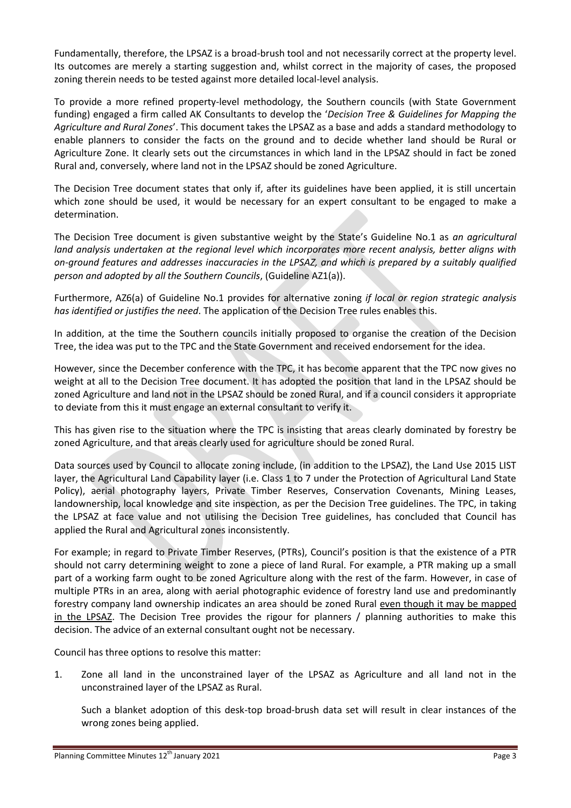Fundamentally, therefore, the LPSAZ is a broad-brush tool and not necessarily correct at the property level. Its outcomes are merely a starting suggestion and, whilst correct in the majority of cases, the proposed zoning therein needs to be tested against more detailed local-level analysis.

To provide a more refined property-level methodology, the Southern councils (with State Government funding) engaged a firm called AK Consultants to develop the '*Decision Tree & Guidelines for Mapping the Agriculture and Rural Zones*'. This document takes the LPSAZ as a base and adds a standard methodology to enable planners to consider the facts on the ground and to decide whether land should be Rural or Agriculture Zone. It clearly sets out the circumstances in which land in the LPSAZ should in fact be zoned Rural and, conversely, where land not in the LPSAZ should be zoned Agriculture.

The Decision Tree document states that only if, after its guidelines have been applied, it is still uncertain which zone should be used, it would be necessary for an expert consultant to be engaged to make a determination.

The Decision Tree document is given substantive weight by the State's Guideline No.1 as *an agricultural land analysis undertaken at the regional level which incorporates more recent analysis, better aligns with on-ground features and addresses inaccuracies in the LPSAZ, and which is prepared by a suitably qualified person and adopted by all the Southern Councils*, (Guideline AZ1(a)).

Furthermore, AZ6(a) of Guideline No.1 provides for alternative zoning *if local or region strategic analysis has identified or justifies the need*. The application of the Decision Tree rules enables this.

In addition, at the time the Southern councils initially proposed to organise the creation of the Decision Tree, the idea was put to the TPC and the State Government and received endorsement for the idea.

However, since the December conference with the TPC, it has become apparent that the TPC now gives no weight at all to the Decision Tree document. It has adopted the position that land in the LPSAZ should be zoned Agriculture and land not in the LPSAZ should be zoned Rural, and if a council considers it appropriate to deviate from this it must engage an external consultant to verify it.

This has given rise to the situation where the TPC is insisting that areas clearly dominated by forestry be zoned Agriculture, and that areas clearly used for agriculture should be zoned Rural.

Data sources used by Council to allocate zoning include, (in addition to the LPSAZ), the Land Use 2015 LIST layer, the Agricultural Land Capability layer (i.e. Class 1 to 7 under the Protection of Agricultural Land State Policy), aerial photography layers, Private Timber Reserves, Conservation Covenants, Mining Leases, landownership, local knowledge and site inspection, as per the Decision Tree guidelines. The TPC, in taking the LPSAZ at face value and not utilising the Decision Tree guidelines, has concluded that Council has applied the Rural and Agricultural zones inconsistently.

For example; in regard to Private Timber Reserves, (PTRs), Council's position is that the existence of a PTR should not carry determining weight to zone a piece of land Rural. For example, a PTR making up a small part of a working farm ought to be zoned Agriculture along with the rest of the farm. However, in case of multiple PTRs in an area, along with aerial photographic evidence of forestry land use and predominantly forestry company land ownership indicates an area should be zoned Rural even though it may be mapped in the LPSAZ. The Decision Tree provides the rigour for planners / planning authorities to make this decision. The advice of an external consultant ought not be necessary.

Council has three options to resolve this matter:

1. Zone all land in the unconstrained layer of the LPSAZ as Agriculture and all land not in the unconstrained layer of the LPSAZ as Rural.

Such a blanket adoption of this desk-top broad-brush data set will result in clear instances of the wrong zones being applied.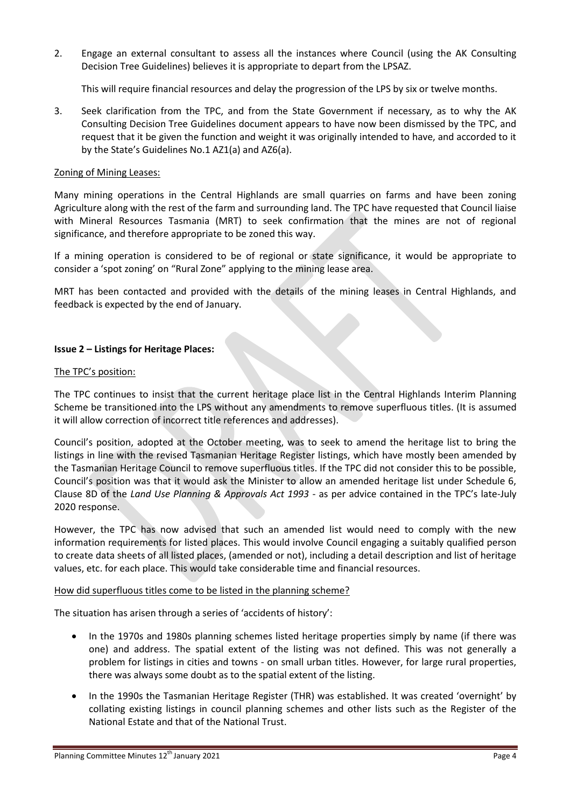2. Engage an external consultant to assess all the instances where Council (using the AK Consulting Decision Tree Guidelines) believes it is appropriate to depart from the LPSAZ.

This will require financial resources and delay the progression of the LPS by six or twelve months.

3. Seek clarification from the TPC, and from the State Government if necessary, as to why the AK Consulting Decision Tree Guidelines document appears to have now been dismissed by the TPC, and request that it be given the function and weight it was originally intended to have, and accorded to it by the State's Guidelines No.1 AZ1(a) and AZ6(a).

### Zoning of Mining Leases:

Many mining operations in the Central Highlands are small quarries on farms and have been zoning Agriculture along with the rest of the farm and surrounding land. The TPC have requested that Council liaise with Mineral Resources Tasmania (MRT) to seek confirmation that the mines are not of regional significance, and therefore appropriate to be zoned this way.

If a mining operation is considered to be of regional or state significance, it would be appropriate to consider a 'spot zoning' on "Rural Zone" applying to the mining lease area.

MRT has been contacted and provided with the details of the mining leases in Central Highlands, and feedback is expected by the end of January.

### **Issue 2 – Listings for Heritage Places:**

### The TPC's position:

The TPC continues to insist that the current heritage place list in the Central Highlands Interim Planning Scheme be transitioned into the LPS without any amendments to remove superfluous titles. (It is assumed it will allow correction of incorrect title references and addresses).

Council's position, adopted at the October meeting, was to seek to amend the heritage list to bring the listings in line with the revised Tasmanian Heritage Register listings, which have mostly been amended by the Tasmanian Heritage Council to remove superfluous titles. If the TPC did not consider this to be possible, Council's position was that it would ask the Minister to allow an amended heritage list under Schedule 6, Clause 8D of the *Land Use Planning & Approvals Act 1993* - as per advice contained in the TPC's late-July 2020 response.

However, the TPC has now advised that such an amended list would need to comply with the new information requirements for listed places. This would involve Council engaging a suitably qualified person to create data sheets of all listed places, (amended or not), including a detail description and list of heritage values, etc. for each place. This would take considerable time and financial resources.

### How did superfluous titles come to be listed in the planning scheme?

The situation has arisen through a series of 'accidents of history':

- In the 1970s and 1980s planning schemes listed heritage properties simply by name (if there was one) and address. The spatial extent of the listing was not defined. This was not generally a problem for listings in cities and towns - on small urban titles. However, for large rural properties, there was always some doubt as to the spatial extent of the listing.
- In the 1990s the Tasmanian Heritage Register (THR) was established. It was created 'overnight' by collating existing listings in council planning schemes and other lists such as the Register of the National Estate and that of the National Trust.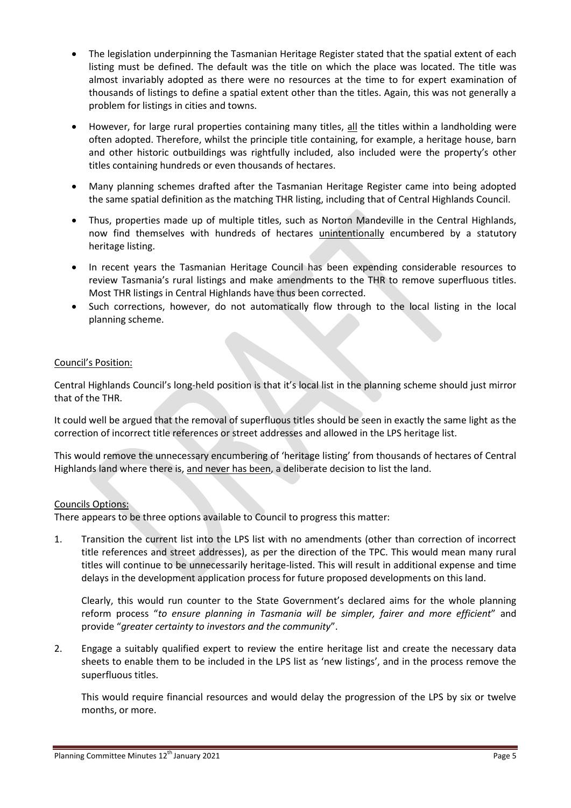- The legislation underpinning the Tasmanian Heritage Register stated that the spatial extent of each listing must be defined. The default was the title on which the place was located. The title was almost invariably adopted as there were no resources at the time to for expert examination of thousands of listings to define a spatial extent other than the titles. Again, this was not generally a problem for listings in cities and towns.
- However, for large rural properties containing many titles, all the titles within a landholding were often adopted. Therefore, whilst the principle title containing, for example, a heritage house, barn and other historic outbuildings was rightfully included, also included were the property's other titles containing hundreds or even thousands of hectares.
- Many planning schemes drafted after the Tasmanian Heritage Register came into being adopted the same spatial definition as the matching THR listing, including that of Central Highlands Council.
- Thus, properties made up of multiple titles, such as Norton Mandeville in the Central Highlands, now find themselves with hundreds of hectares unintentionally encumbered by a statutory heritage listing.
- In recent years the Tasmanian Heritage Council has been expending considerable resources to review Tasmania's rural listings and make amendments to the THR to remove superfluous titles. Most THR listings in Central Highlands have thus been corrected.
- Such corrections, however, do not automatically flow through to the local listing in the local planning scheme.

### Council's Position:

Central Highlands Council's long-held position is that it's local list in the planning scheme should just mirror that of the THR.

It could well be argued that the removal of superfluous titles should be seen in exactly the same light as the correction of incorrect title references or street addresses and allowed in the LPS heritage list.

This would remove the unnecessary encumbering of 'heritage listing' from thousands of hectares of Central Highlands land where there is, and never has been, a deliberate decision to list the land.

### Councils Options:

There appears to be three options available to Council to progress this matter:

1. Transition the current list into the LPS list with no amendments (other than correction of incorrect title references and street addresses), as per the direction of the TPC. This would mean many rural titles will continue to be unnecessarily heritage-listed. This will result in additional expense and time delays in the development application process for future proposed developments on this land.

Clearly, this would run counter to the State Government's declared aims for the whole planning reform process "*to ensure planning in Tasmania will be simpler, fairer and more efficient*" and provide "*greater certainty to investors and the community*".

2. Engage a suitably qualified expert to review the entire heritage list and create the necessary data sheets to enable them to be included in the LPS list as 'new listings', and in the process remove the superfluous titles.

This would require financial resources and would delay the progression of the LPS by six or twelve months, or more.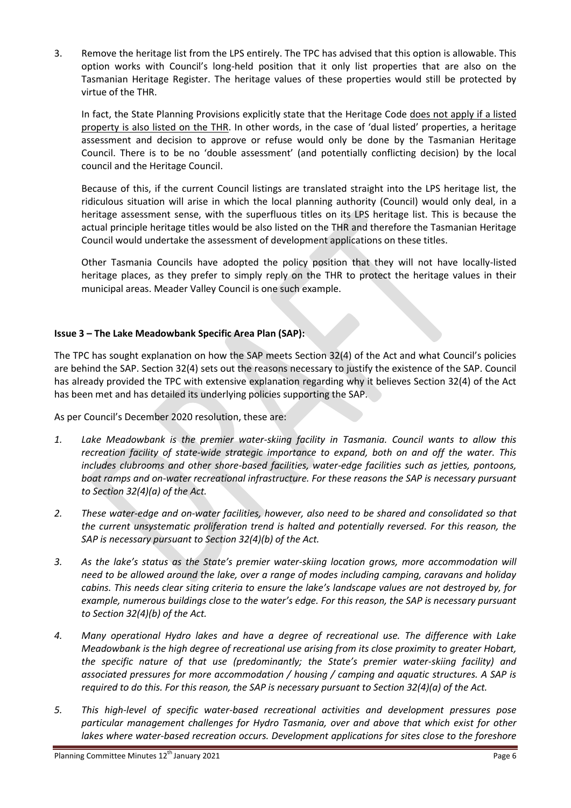3. Remove the heritage list from the LPS entirely. The TPC has advised that this option is allowable. This option works with Council's long-held position that it only list properties that are also on the Tasmanian Heritage Register. The heritage values of these properties would still be protected by virtue of the THR.

In fact, the State Planning Provisions explicitly state that the Heritage Code does not apply if a listed property is also listed on the THR. In other words, in the case of 'dual listed' properties, a heritage assessment and decision to approve or refuse would only be done by the Tasmanian Heritage Council. There is to be no 'double assessment' (and potentially conflicting decision) by the local council and the Heritage Council.

Because of this, if the current Council listings are translated straight into the LPS heritage list, the ridiculous situation will arise in which the local planning authority (Council) would only deal, in a heritage assessment sense, with the superfluous titles on its LPS heritage list. This is because the actual principle heritage titles would be also listed on the THR and therefore the Tasmanian Heritage Council would undertake the assessment of development applications on these titles.

Other Tasmania Councils have adopted the policy position that they will not have locally-listed heritage places, as they prefer to simply reply on the THR to protect the heritage values in their municipal areas. Meader Valley Council is one such example.

### **Issue 3 – The Lake Meadowbank Specific Area Plan (SAP):**

The TPC has sought explanation on how the SAP meets Section 32(4) of the Act and what Council's policies are behind the SAP. Section 32(4) sets out the reasons necessary to justify the existence of the SAP. Council has already provided the TPC with extensive explanation regarding why it believes Section 32(4) of the Act has been met and has detailed its underlying policies supporting the SAP.

As per Council's December 2020 resolution, these are:

- *1. Lake Meadowbank is the premier water-skiing facility in Tasmania. Council wants to allow this recreation facility of state-wide strategic importance to expand, both on and off the water. This includes clubrooms and other shore-based facilities, water-edge facilities such as jetties, pontoons, boat ramps and on-water recreational infrastructure. For these reasons the SAP is necessary pursuant to Section 32(4)(a) of the Act.*
- *2. These water-edge and on-water facilities, however, also need to be shared and consolidated so that the current unsystematic proliferation trend is halted and potentially reversed. For this reason, the SAP is necessary pursuant to Section 32(4)(b) of the Act.*
- *3. As the lake's status as the State's premier water-skiing location grows, more accommodation will need to be allowed around the lake, over a range of modes including camping, caravans and holiday cabins. This needs clear siting criteria to ensure the lake's landscape values are not destroyed by, for example, numerous buildings close to the water's edge. For this reason, the SAP is necessary pursuant to Section 32(4)(b) of the Act.*
- *4. Many operational Hydro lakes and have a degree of recreational use. The difference with Lake Meadowbank is the high degree of recreational use arising from its close proximity to greater Hobart, the specific nature of that use (predominantly; the State's premier water-skiing facility) and associated pressures for more accommodation / housing / camping and aquatic structures. A SAP is required to do this. For this reason, the SAP is necessary pursuant to Section 32(4)(a) of the Act.*
- *5. This high-level of specific water-based recreational activities and development pressures pose particular management challenges for Hydro Tasmania, over and above that which exist for other*  lakes where water-based recreation occurs. Development applications for sites close to the foreshore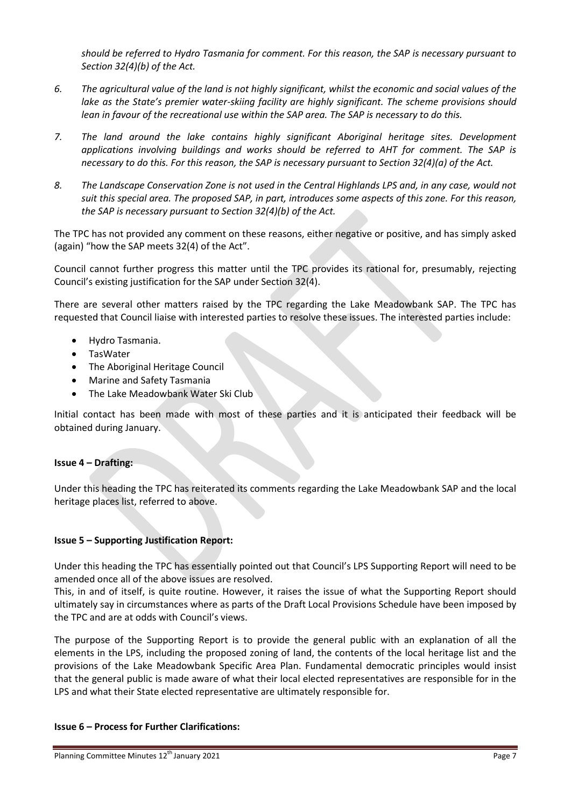*should be referred to Hydro Tasmania for comment. For this reason, the SAP is necessary pursuant to Section 32(4)(b) of the Act.*

- *6. The agricultural value of the land is not highly significant, whilst the economic and social values of the lake as the State's premier water-skiing facility are highly significant. The scheme provisions should lean in favour of the recreational use within the SAP area. The SAP is necessary to do this.*
- *7. The land around the lake contains highly significant Aboriginal heritage sites. Development applications involving buildings and works should be referred to AHT for comment. The SAP is necessary to do this. For this reason, the SAP is necessary pursuant to Section 32(4)(a) of the Act.*
- *8. The Landscape Conservation Zone is not used in the Central Highlands LPS and, in any case, would not suit this special area. The proposed SAP, in part, introduces some aspects of this zone. For this reason, the SAP is necessary pursuant to Section 32(4)(b) of the Act.*

The TPC has not provided any comment on these reasons, either negative or positive, and has simply asked (again) "how the SAP meets 32(4) of the Act".

Council cannot further progress this matter until the TPC provides its rational for, presumably, rejecting Council's existing justification for the SAP under Section 32(4).

There are several other matters raised by the TPC regarding the Lake Meadowbank SAP. The TPC has requested that Council liaise with interested parties to resolve these issues. The interested parties include:

- Hydro Tasmania.
- TasWater
- The Aboriginal Heritage Council
- Marine and Safety Tasmania
- The Lake Meadowbank Water Ski Club

Initial contact has been made with most of these parties and it is anticipated their feedback will be obtained during January.

### **Issue 4 – Drafting:**

Under this heading the TPC has reiterated its comments regarding the Lake Meadowbank SAP and the local heritage places list, referred to above.

### **Issue 5 – Supporting Justification Report:**

Under this heading the TPC has essentially pointed out that Council's LPS Supporting Report will need to be amended once all of the above issues are resolved.

This, in and of itself, is quite routine. However, it raises the issue of what the Supporting Report should ultimately say in circumstances where as parts of the Draft Local Provisions Schedule have been imposed by the TPC and are at odds with Council's views.

The purpose of the Supporting Report is to provide the general public with an explanation of all the elements in the LPS, including the proposed zoning of land, the contents of the local heritage list and the provisions of the Lake Meadowbank Specific Area Plan. Fundamental democratic principles would insist that the general public is made aware of what their local elected representatives are responsible for in the LPS and what their State elected representative are ultimately responsible for.

### **Issue 6 – Process for Further Clarifications:**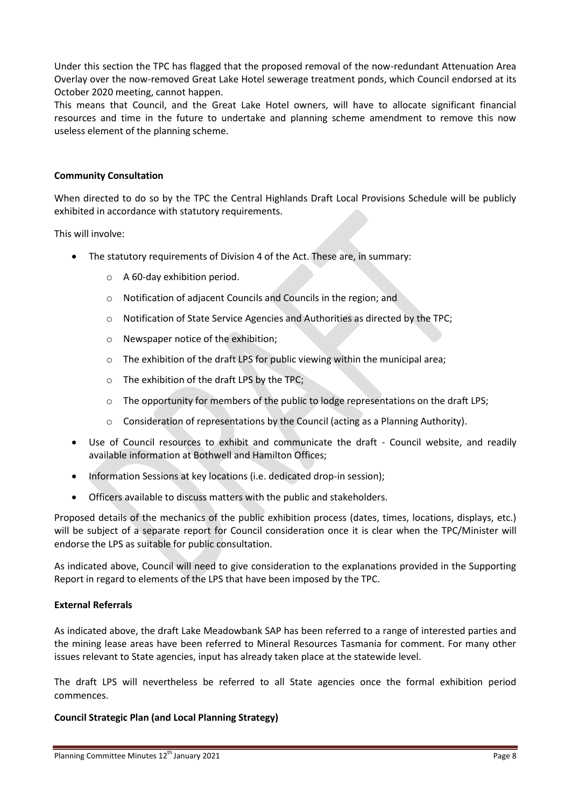Under this section the TPC has flagged that the proposed removal of the now-redundant Attenuation Area Overlay over the now-removed Great Lake Hotel sewerage treatment ponds, which Council endorsed at its October 2020 meeting, cannot happen.

This means that Council, and the Great Lake Hotel owners, will have to allocate significant financial resources and time in the future to undertake and planning scheme amendment to remove this now useless element of the planning scheme.

### **Community Consultation**

When directed to do so by the TPC the Central Highlands Draft Local Provisions Schedule will be publicly exhibited in accordance with statutory requirements.

This will involve:

- The statutory requirements of Division 4 of the Act. These are, in summary:
	- o A 60-day exhibition period.
	- o Notification of adjacent Councils and Councils in the region; and
	- o Notification of State Service Agencies and Authorities as directed by the TPC;
	- o Newspaper notice of the exhibition;
	- o The exhibition of the draft LPS for public viewing within the municipal area;
	- o The exhibition of the draft LPS by the TPC;
	- o The opportunity for members of the public to lodge representations on the draft LPS;
	- o Consideration of representations by the Council (acting as a Planning Authority).
- Use of Council resources to exhibit and communicate the draft Council website, and readily available information at Bothwell and Hamilton Offices;
- Information Sessions at key locations (i.e. dedicated drop-in session);
- Officers available to discuss matters with the public and stakeholders.

Proposed details of the mechanics of the public exhibition process (dates, times, locations, displays, etc.) will be subject of a separate report for Council consideration once it is clear when the TPC/Minister will endorse the LPS as suitable for public consultation.

As indicated above, Council will need to give consideration to the explanations provided in the Supporting Report in regard to elements of the LPS that have been imposed by the TPC.

### **External Referrals**

As indicated above, the draft Lake Meadowbank SAP has been referred to a range of interested parties and the mining lease areas have been referred to Mineral Resources Tasmania for comment. For many other issues relevant to State agencies, input has already taken place at the statewide level.

The draft LPS will nevertheless be referred to all State agencies once the formal exhibition period commences.

### **Council Strategic Plan (and Local Planning Strategy)**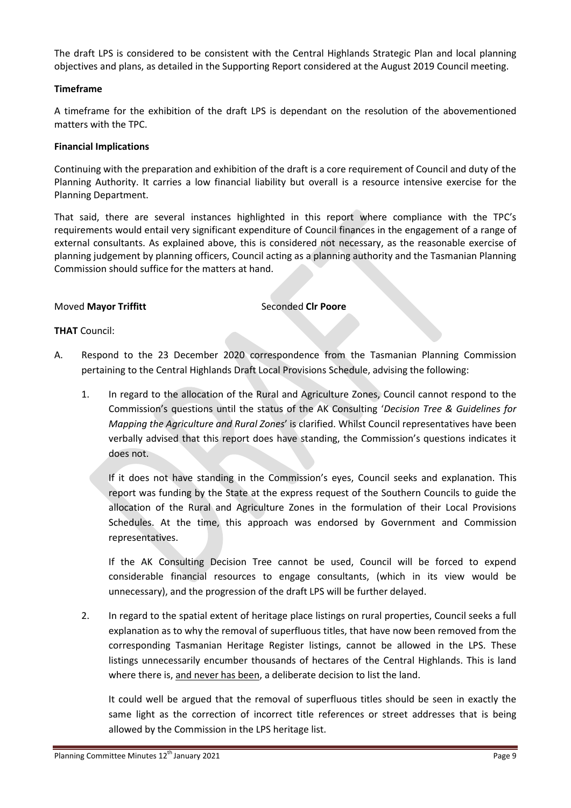The draft LPS is considered to be consistent with the Central Highlands Strategic Plan and local planning objectives and plans, as detailed in the Supporting Report considered at the August 2019 Council meeting.

### **Timeframe**

A timeframe for the exhibition of the draft LPS is dependant on the resolution of the abovementioned matters with the TPC.

### **Financial Implications**

Continuing with the preparation and exhibition of the draft is a core requirement of Council and duty of the Planning Authority. It carries a low financial liability but overall is a resource intensive exercise for the Planning Department.

That said, there are several instances highlighted in this report where compliance with the TPC's requirements would entail very significant expenditure of Council finances in the engagement of a range of external consultants. As explained above, this is considered not necessary, as the reasonable exercise of planning judgement by planning officers, Council acting as a planning authority and the Tasmanian Planning Commission should suffice for the matters at hand.

### **Moved Mayor Triffitt** Seconded Clr Poore

### **THAT** Council:

- A. Respond to the 23 December 2020 correspondence from the Tasmanian Planning Commission pertaining to the Central Highlands Draft Local Provisions Schedule, advising the following:
	- 1. In regard to the allocation of the Rural and Agriculture Zones, Council cannot respond to the Commission's questions until the status of the AK Consulting '*Decision Tree & Guidelines for Mapping the Agriculture and Rural Zones*' is clarified. Whilst Council representatives have been verbally advised that this report does have standing, the Commission's questions indicates it does not.

If it does not have standing in the Commission's eyes, Council seeks and explanation. This report was funding by the State at the express request of the Southern Councils to guide the allocation of the Rural and Agriculture Zones in the formulation of their Local Provisions Schedules. At the time, this approach was endorsed by Government and Commission representatives.

If the AK Consulting Decision Tree cannot be used, Council will be forced to expend considerable financial resources to engage consultants, (which in its view would be unnecessary), and the progression of the draft LPS will be further delayed.

2. In regard to the spatial extent of heritage place listings on rural properties, Council seeks a full explanation as to why the removal of superfluous titles, that have now been removed from the corresponding Tasmanian Heritage Register listings, cannot be allowed in the LPS. These listings unnecessarily encumber thousands of hectares of the Central Highlands. This is land where there is, and never has been, a deliberate decision to list the land.

It could well be argued that the removal of superfluous titles should be seen in exactly the same light as the correction of incorrect title references or street addresses that is being allowed by the Commission in the LPS heritage list.